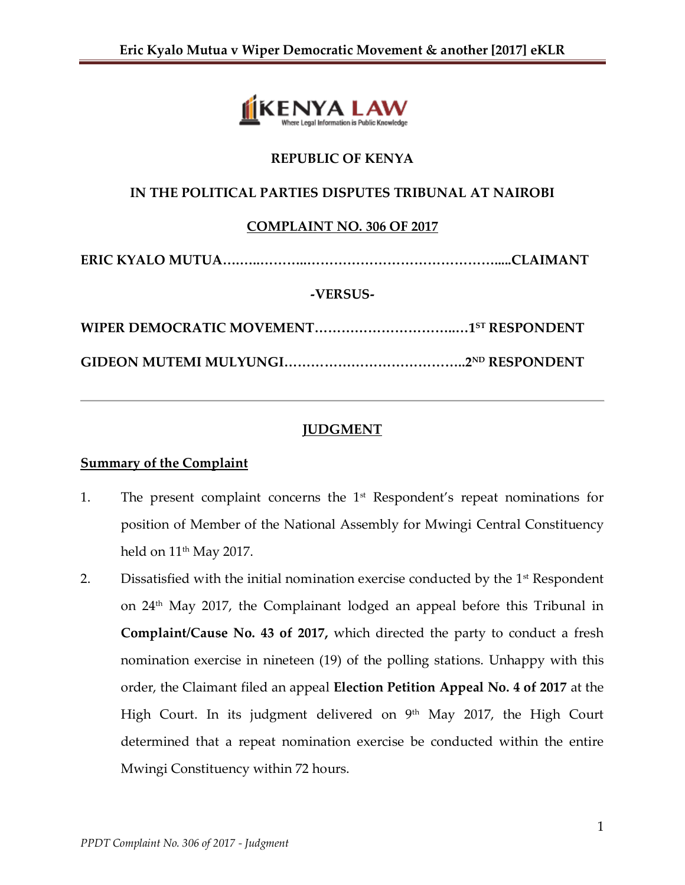

## **REPUBLIC OF KENYA**

## **IN THE POLITICAL PARTIES DISPUTES TRIBUNAL AT NAIROBI**

### **COMPLAINT NO. 306 OF 2017**

```
ERIC KYALO MUTUA….…..………..…………………………………….....CLAIMANT
```
#### **-VERSUS-**

# **JUDGMENT**

### **Summary of the Complaint**

- 1. The present complaint concerns the 1st Respondent's repeat nominations for position of Member of the National Assembly for Mwingi Central Constituency held on  $11<sup>th</sup>$  May 2017.
- 2. Dissatisfied with the initial nomination exercise conducted by the  $1<sup>st</sup>$  Respondent on 24th May 2017, the Complainant lodged an appeal before this Tribunal in **Complaint/Cause No. 43 of 2017,** which directed the party to conduct a fresh nomination exercise in nineteen (19) of the polling stations. Unhappy with this order, the Claimant filed an appeal **Election Petition Appeal No. 4 of 2017** at the High Court. In its judgment delivered on 9<sup>th</sup> May 2017, the High Court determined that a repeat nomination exercise be conducted within the entire Mwingi Constituency within 72 hours.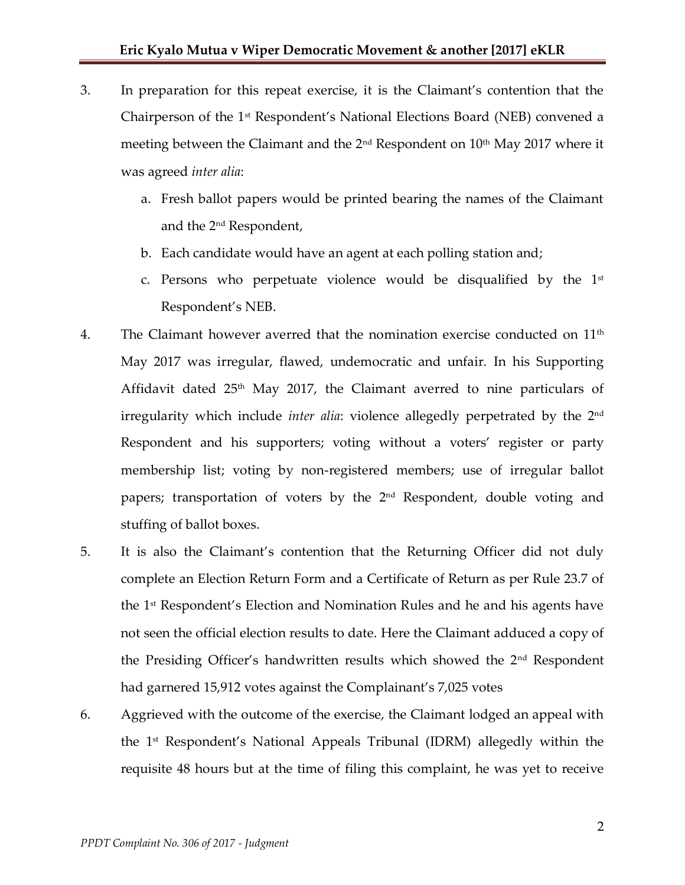- 3. In preparation for this repeat exercise, it is the Claimant's contention that the Chairperson of the 1st Respondent's National Elections Board (NEB) convened a meeting between the Claimant and the  $2<sup>nd</sup>$  Respondent on  $10<sup>th</sup>$  May 2017 where it was agreed *inter alia*:
	- a. Fresh ballot papers would be printed bearing the names of the Claimant and the 2nd Respondent,
	- b. Each candidate would have an agent at each polling station and;
	- c. Persons who perpetuate violence would be disqualified by the  $1<sup>st</sup>$ Respondent's NEB.
- 4. The Claimant however averred that the nomination exercise conducted on 11<sup>th</sup> May 2017 was irregular, flawed, undemocratic and unfair. In his Supporting Affidavit dated  $25<sup>th</sup>$  May 2017, the Claimant averred to nine particulars of irregularity which include *inter alia*: violence allegedly perpetrated by the 2nd Respondent and his supporters; voting without a voters' register or party membership list; voting by non-registered members; use of irregular ballot papers; transportation of voters by the 2nd Respondent, double voting and stuffing of ballot boxes.
- 5. It is also the Claimant's contention that the Returning Officer did not duly complete an Election Return Form and a Certificate of Return as per Rule 23.7 of the 1st Respondent's Election and Nomination Rules and he and his agents have not seen the official election results to date. Here the Claimant adduced a copy of the Presiding Officer's handwritten results which showed the  $2<sup>nd</sup>$  Respondent had garnered 15,912 votes against the Complainant's 7,025 votes
- 6. Aggrieved with the outcome of the exercise, the Claimant lodged an appeal with the 1st Respondent's National Appeals Tribunal (IDRM) allegedly within the requisite 48 hours but at the time of filing this complaint, he was yet to receive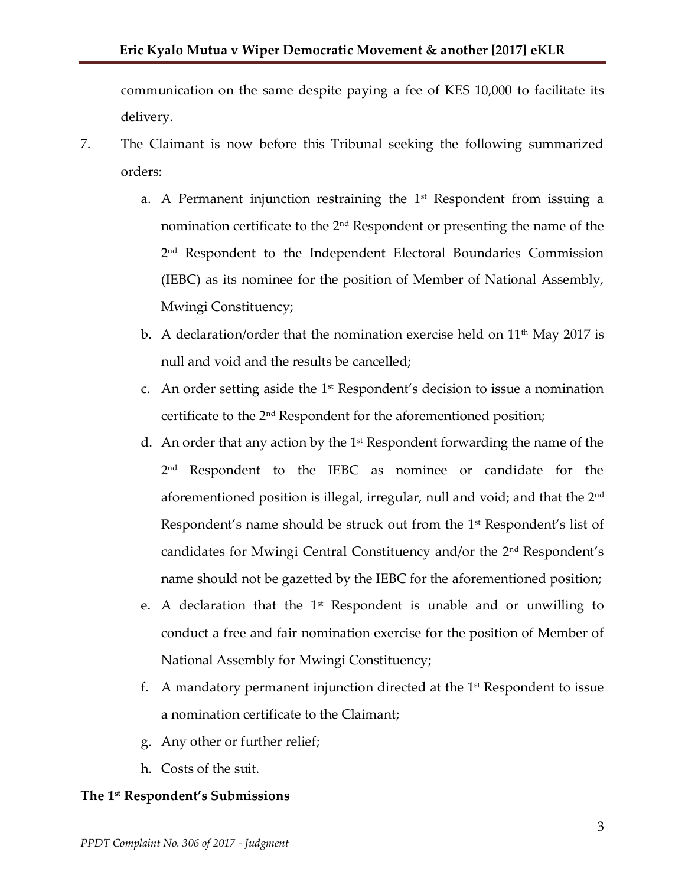communication on the same despite paying a fee of KES 10,000 to facilitate its delivery.

- 7. The Claimant is now before this Tribunal seeking the following summarized orders:
	- a. A Permanent injunction restraining the  $1<sup>st</sup>$  Respondent from issuing a nomination certificate to the 2nd Respondent or presenting the name of the 2 nd Respondent to the Independent Electoral Boundaries Commission (IEBC) as its nominee for the position of Member of National Assembly, Mwingi Constituency;
	- b. A declaration/order that the nomination exercise held on  $11<sup>th</sup>$  May 2017 is null and void and the results be cancelled;
	- c. An order setting aside the  $1<sup>st</sup>$  Respondent's decision to issue a nomination certificate to the 2nd Respondent for the aforementioned position;
	- d. An order that any action by the  $1<sup>st</sup>$  Respondent forwarding the name of the 2 nd Respondent to the IEBC as nominee or candidate for the aforementioned position is illegal, irregular, null and void; and that the 2nd Respondent's name should be struck out from the  $1<sup>st</sup>$  Respondent's list of candidates for Mwingi Central Constituency and/or the 2nd Respondent's name should not be gazetted by the IEBC for the aforementioned position;
	- e. A declaration that the  $1<sup>st</sup>$  Respondent is unable and or unwilling to conduct a free and fair nomination exercise for the position of Member of National Assembly for Mwingi Constituency;
	- f. A mandatory permanent injunction directed at the  $1<sup>st</sup>$  Respondent to issue a nomination certificate to the Claimant;
	- g. Any other or further relief;
	- h. Costs of the suit.

# **The 1st Respondent's Submissions**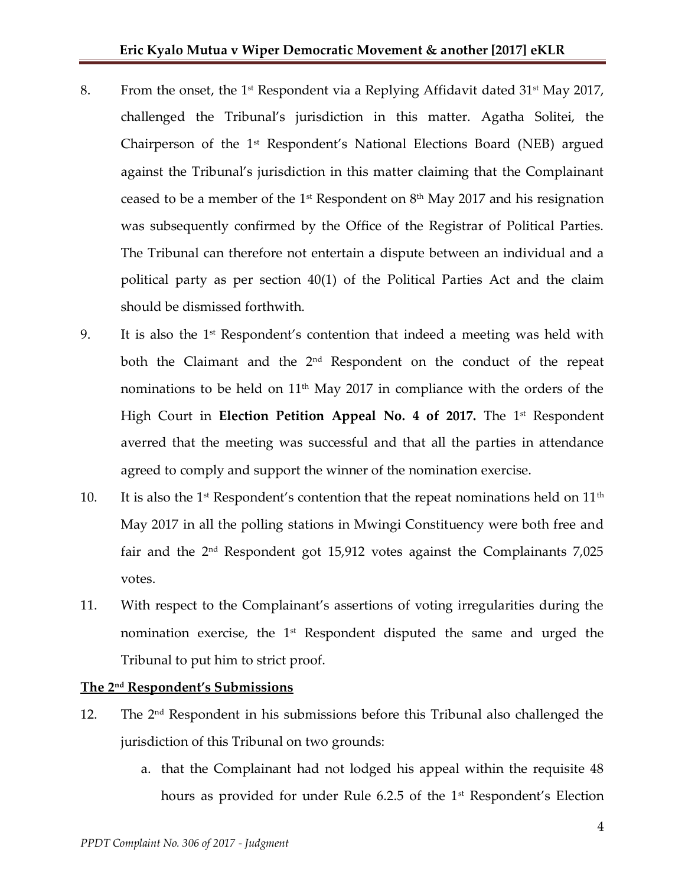- 8. From the onset, the 1<sup>st</sup> Respondent via a Replying Affidavit dated 31<sup>st</sup> May 2017, challenged the Tribunal's jurisdiction in this matter. Agatha Solitei, the Chairperson of the 1<sup>st</sup> Respondent's National Elections Board (NEB) argued against the Tribunal's jurisdiction in this matter claiming that the Complainant ceased to be a member of the 1<sup>st</sup> Respondent on  $8<sup>th</sup>$  May 2017 and his resignation was subsequently confirmed by the Office of the Registrar of Political Parties. The Tribunal can therefore not entertain a dispute between an individual and a political party as per section 40(1) of the Political Parties Act and the claim should be dismissed forthwith.
- 9. It is also the  $1<sup>st</sup>$  Respondent's contention that indeed a meeting was held with both the Claimant and the 2<sup>nd</sup> Respondent on the conduct of the repeat nominations to be held on  $11<sup>th</sup>$  May 2017 in compliance with the orders of the High Court in **Election Petition Appeal No. 4 of 2017.** The 1<sup>st</sup> Respondent averred that the meeting was successful and that all the parties in attendance agreed to comply and support the winner of the nomination exercise.
- 10. It is also the 1<sup>st</sup> Respondent's contention that the repeat nominations held on  $11<sup>th</sup>$ May 2017 in all the polling stations in Mwingi Constituency were both free and fair and the  $2<sup>nd</sup>$  Respondent got 15,912 votes against the Complainants 7,025 votes.
- 11. With respect to the Complainant's assertions of voting irregularities during the nomination exercise, the  $1<sup>st</sup>$  Respondent disputed the same and urged the Tribunal to put him to strict proof.

### **The 2nd Respondent's Submissions**

- 12. The  $2<sup>nd</sup>$  Respondent in his submissions before this Tribunal also challenged the jurisdiction of this Tribunal on two grounds:
	- a. that the Complainant had not lodged his appeal within the requisite 48 hours as provided for under Rule 6.2.5 of the 1<sup>st</sup> Respondent's Election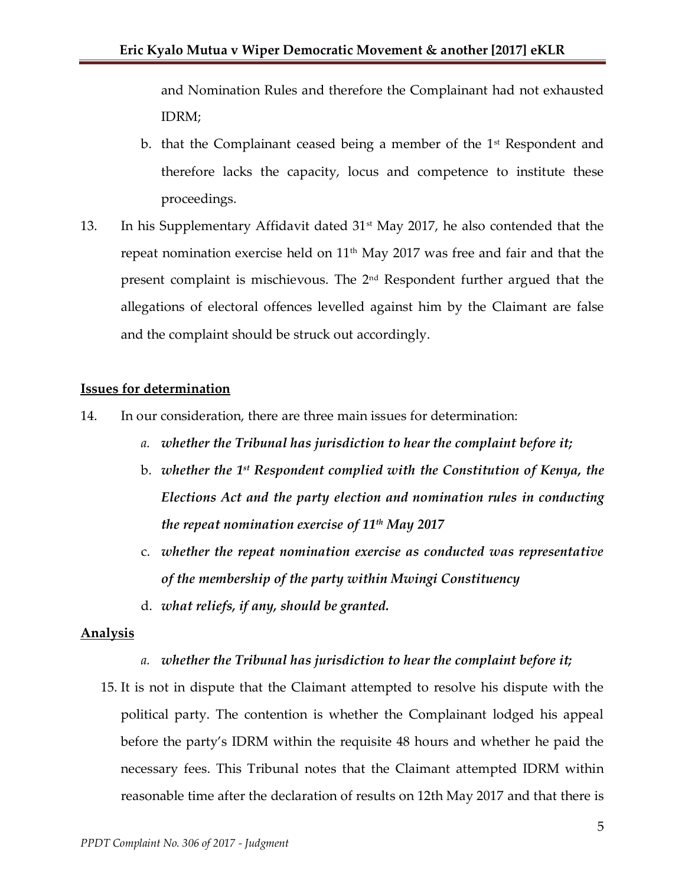and Nomination Rules and therefore the Complainant had not exhausted IDRM;

- b. that the Complainant ceased being a member of the  $1<sup>st</sup>$  Respondent and therefore lacks the capacity, locus and competence to institute these proceedings.
- 13. In his Supplementary Affidavit dated 31st May 2017, he also contended that the repeat nomination exercise held on  $11<sup>th</sup>$  May 2017 was free and fair and that the present complaint is mischievous. The 2nd Respondent further argued that the allegations of electoral offences levelled against him by the Claimant are false and the complaint should be struck out accordingly.

### **Issues for determination**

- 14. In our consideration, there are three main issues for determination:
	- *a. whether the Tribunal has jurisdiction to hear the complaint before it;*
	- b. *whether the 1 st Respondent complied with the Constitution of Kenya, the Elections Act and the party election and nomination rules in conducting the repeat nomination exercise of 11th May 2017*
	- c. *whether the repeat nomination exercise as conducted was representative of the membership of the party within Mwingi Constituency*
	- d. *what reliefs, if any, should be granted.*

### **Analysis**

### *a. whether the Tribunal has jurisdiction to hear the complaint before it;*

15. It is not in dispute that the Claimant attempted to resolve his dispute with the political party. The contention is whether the Complainant lodged his appeal before the party's IDRM within the requisite 48 hours and whether he paid the necessary fees. This Tribunal notes that the Claimant attempted IDRM within reasonable time after the declaration of results on 12th May 2017 and that there is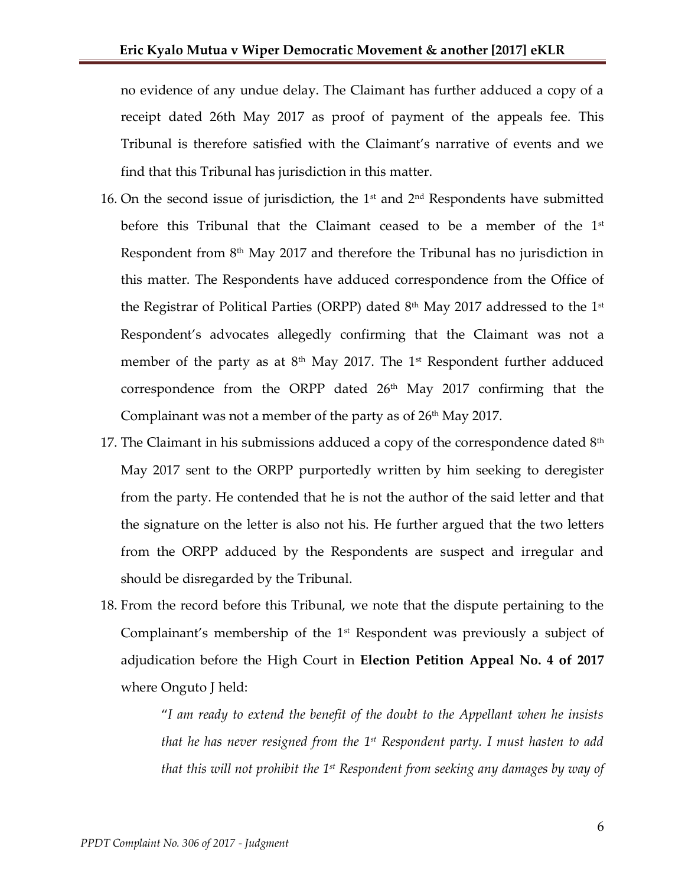no evidence of any undue delay. The Claimant has further adduced a copy of a receipt dated 26th May 2017 as proof of payment of the appeals fee. This Tribunal is therefore satisfied with the Claimant's narrative of events and we find that this Tribunal has jurisdiction in this matter.

- 16. On the second issue of jurisdiction, the  $1<sup>st</sup>$  and  $2<sup>nd</sup>$  Respondents have submitted before this Tribunal that the Claimant ceased to be a member of the 1<sup>st</sup> Respondent from  $8<sup>th</sup>$  May 2017 and therefore the Tribunal has no jurisdiction in this matter. The Respondents have adduced correspondence from the Office of the Registrar of Political Parties (ORPP) dated  $8<sup>th</sup>$  May 2017 addressed to the 1<sup>st</sup> Respondent's advocates allegedly confirming that the Claimant was not a member of the party as at  $8<sup>th</sup>$  May 2017. The 1<sup>st</sup> Respondent further adduced correspondence from the ORPP dated 26<sup>th</sup> May 2017 confirming that the Complainant was not a member of the party as of  $26<sup>th</sup>$  May 2017.
- 17. The Claimant in his submissions adduced a copy of the correspondence dated  $8<sup>th</sup>$ May 2017 sent to the ORPP purportedly written by him seeking to deregister from the party. He contended that he is not the author of the said letter and that the signature on the letter is also not his. He further argued that the two letters from the ORPP adduced by the Respondents are suspect and irregular and should be disregarded by the Tribunal.
- 18. From the record before this Tribunal, we note that the dispute pertaining to the Complainant's membership of the  $1<sup>st</sup>$  Respondent was previously a subject of adjudication before the High Court in **Election Petition Appeal No. 4 of 2017**  where Onguto J held:

"*I am ready to extend the benefit of the doubt to the Appellant when he insists that he has never resigned from the 1st Respondent party. I must hasten to add that this will not prohibit the 1st Respondent from seeking any damages by way of*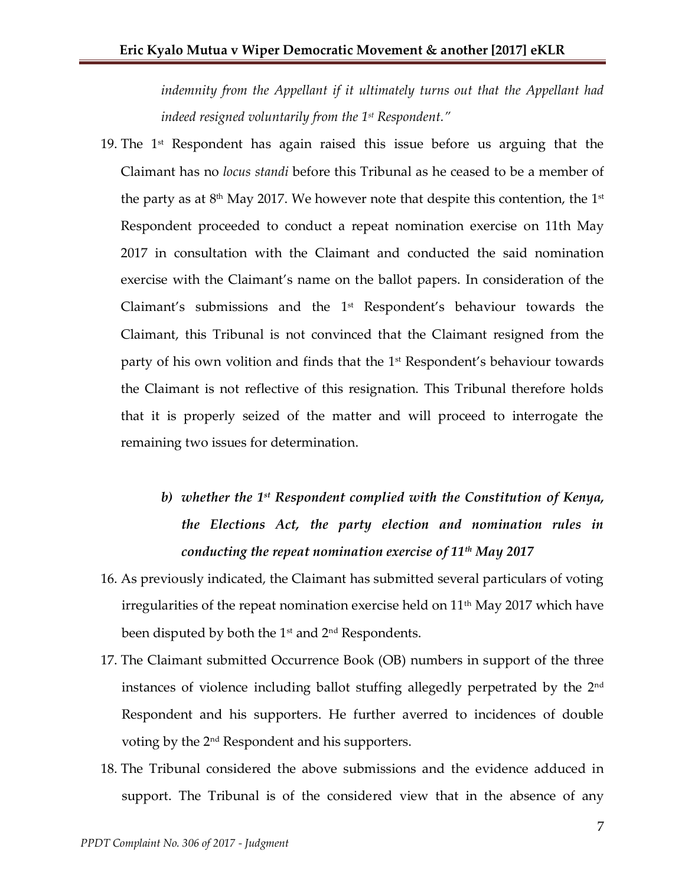indemnity from the Appellant if it ultimately turns out that the Appellant had *indeed resigned voluntarily from the 1st Respondent."*

- 19. The  $1<sup>st</sup>$  Respondent has again raised this issue before us arguing that the Claimant has no *locus standi* before this Tribunal as he ceased to be a member of the party as at  $8^{\rm th}$  May 2017. We however note that despite this contention, the 1st Respondent proceeded to conduct a repeat nomination exercise on 11th May 2017 in consultation with the Claimant and conducted the said nomination exercise with the Claimant's name on the ballot papers. In consideration of the Claimant's submissions and the 1<sup>st</sup> Respondent's behaviour towards the Claimant, this Tribunal is not convinced that the Claimant resigned from the party of his own volition and finds that the 1st Respondent's behaviour towards the Claimant is not reflective of this resignation. This Tribunal therefore holds that it is properly seized of the matter and will proceed to interrogate the remaining two issues for determination.
	- *b) whether the 1st Respondent complied with the Constitution of Kenya, the Elections Act, the party election and nomination rules in conducting the repeat nomination exercise of 11th May 2017*
- 16. As previously indicated, the Claimant has submitted several particulars of voting irregularities of the repeat nomination exercise held on  $11<sup>th</sup>$  May 2017 which have been disputed by both the  $1<sup>st</sup>$  and  $2<sup>nd</sup>$  Respondents.
- 17. The Claimant submitted Occurrence Book (OB) numbers in support of the three instances of violence including ballot stuffing allegedly perpetrated by the 2nd Respondent and his supporters. He further averred to incidences of double voting by the 2nd Respondent and his supporters.
- 18. The Tribunal considered the above submissions and the evidence adduced in support. The Tribunal is of the considered view that in the absence of any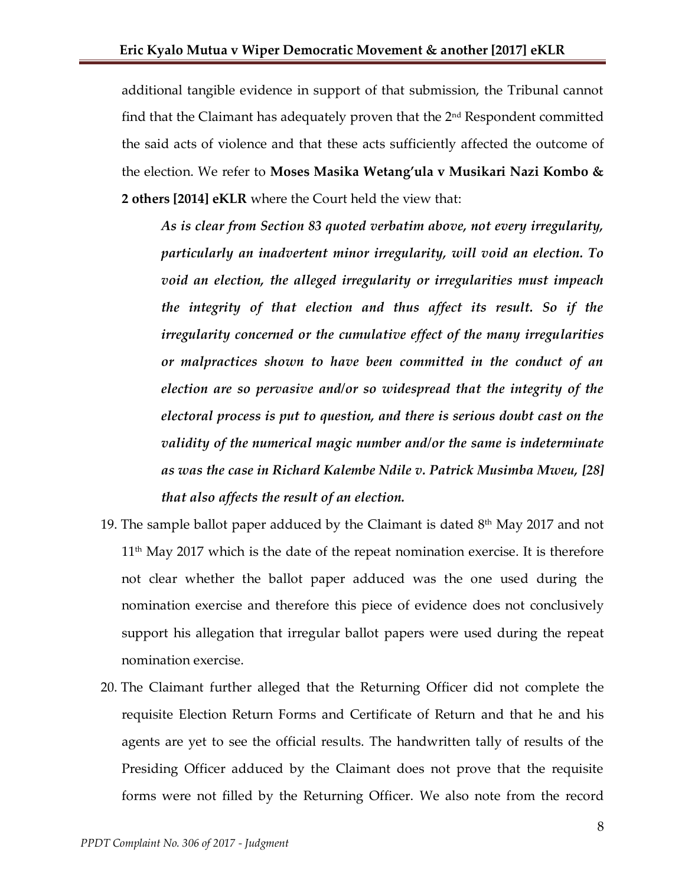additional tangible evidence in support of that submission, the Tribunal cannot find that the Claimant has adequately proven that the  $2<sup>nd</sup>$  Respondent committed the said acts of violence and that these acts sufficiently affected the outcome of the election. We refer to **Moses Masika Wetang'ula v Musikari Nazi Kombo & 2 others [2014] eKLR** where the Court held the view that:

*As is clear from Section 83 quoted verbatim above, not every irregularity, particularly an inadvertent minor irregularity, will void an election. To void an election, the alleged irregularity or irregularities must impeach the integrity of that election and thus affect its result. So if the irregularity concerned or the cumulative effect of the many irregularities or malpractices shown to have been committed in the conduct of an election are so pervasive and/or so widespread that the integrity of the electoral process is put to question, and there is serious doubt cast on the validity of the numerical magic number and/or the same is indeterminate as was the case in Richard Kalembe Ndile v. Patrick Musimba Mweu, [28] that also affects the result of an election.*

- 19. The sample ballot paper adduced by the Claimant is dated  $8<sup>th</sup>$  May 2017 and not  $11<sup>th</sup>$  May 2017 which is the date of the repeat nomination exercise. It is therefore not clear whether the ballot paper adduced was the one used during the nomination exercise and therefore this piece of evidence does not conclusively support his allegation that irregular ballot papers were used during the repeat nomination exercise.
- 20. The Claimant further alleged that the Returning Officer did not complete the requisite Election Return Forms and Certificate of Return and that he and his agents are yet to see the official results. The handwritten tally of results of the Presiding Officer adduced by the Claimant does not prove that the requisite forms were not filled by the Returning Officer. We also note from the record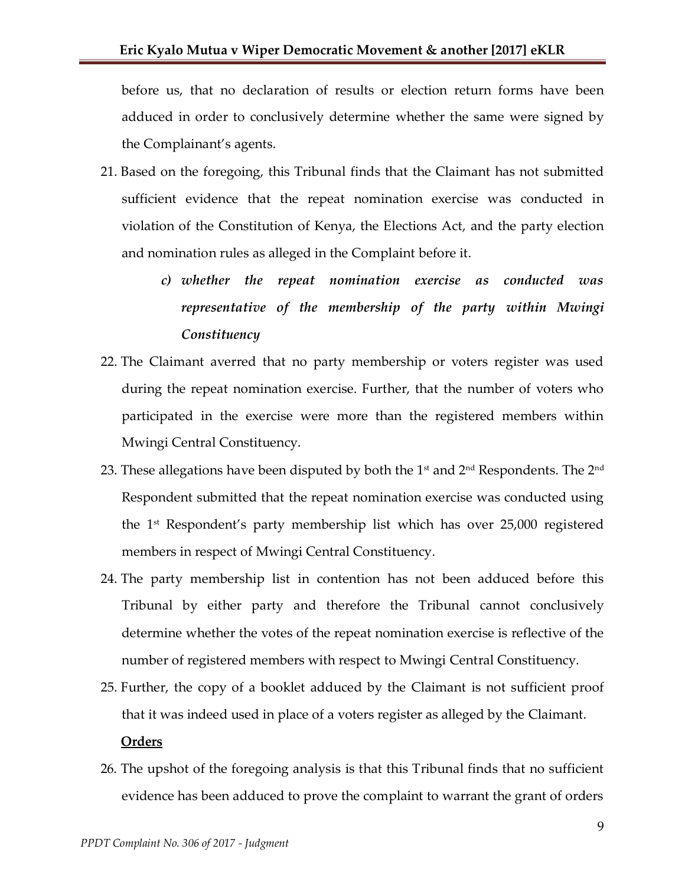before us, that no declaration of results or election return forms have been adduced in order to conclusively determine whether the same were signed by the Complainant's agents.

- 21. Based on the foregoing, this Tribunal finds that the Claimant has not submitted sufficient evidence that the repeat nomination exercise was conducted in violation of the Constitution of Kenya, the Elections Act, and the party election and nomination rules as alleged in the Complaint before it.
	- *c) whether the repeat nomination exercise as conducted was representative of the membership of the party within Mwingi Constituency*
- 22. The Claimant averred that no party membership or voters register was used during the repeat nomination exercise. Further, that the number of voters who participated in the exercise were more than the registered members within Mwingi Central Constituency.
- 23. These allegations have been disputed by both the  $1<sup>st</sup>$  and  $2<sup>nd</sup>$  Respondents. The  $2<sup>nd</sup>$ Respondent submitted that the repeat nomination exercise was conducted using the 1 st Respondent's party membership list which has over 25,000 registered members in respect of Mwingi Central Constituency.
- 24. The party membership list in contention has not been adduced before this Tribunal by either party and therefore the Tribunal cannot conclusively determine whether the votes of the repeat nomination exercise is reflective of the number of registered members with respect to Mwingi Central Constituency.
- 25. Further, the copy of a booklet adduced by the Claimant is not sufficient proof that it was indeed used in place of a voters register as alleged by the Claimant.

#### **Orders**

26. The upshot of the foregoing analysis is that this Tribunal finds that no sufficient evidence has been adduced to prove the complaint to warrant the grant of orders